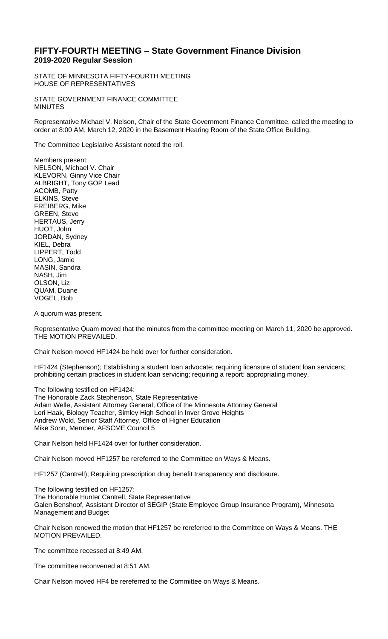## **FIFTY-FOURTH MEETING – State Government Finance Division 2019-2020 Regular Session**

STATE OF MINNESOTA FIFTY-FOURTH MEETING HOUSE OF REPRESENTATIVES

STATE GOVERNMENT FINANCE COMMITTEE MINUTES

Representative Michael V. Nelson, Chair of the State Government Finance Committee, called the meeting to order at 8:00 AM, March 12, 2020 in the Basement Hearing Room of the State Office Building.

The Committee Legislative Assistant noted the roll.

Members present: NELSON, Michael V. Chair KLEVORN, Ginny Vice Chair ALBRIGHT, Tony GOP Lead ACOMB, Patty ELKINS, Steve FREIBERG, Mike GREEN, Steve HERTAUS, Jerry HUOT, John JORDAN, Sydney KIEL, Debra LIPPERT, Todd LONG, Jamie MASIN, Sandra NASH, Jim OLSON, Liz QUAM, Duane VOGEL, Bob

A quorum was present.

Representative Quam moved that the minutes from the committee meeting on March 11, 2020 be approved. THE MOTION PREVAILED.

Chair Nelson moved HF1424 be held over for further consideration.

HF1424 (Stephenson); Establishing a student loan advocate; requiring licensure of student loan servicers; prohibiting certain practices in student loan servicing; requiring a report; appropriating money.

The following testified on HF1424:

The Honorable Zack Stephenson, State Representative Adam Welle, Assistant Attorney General, Office of the Minnesota Attorney General Lori Haak, Biology Teacher, Simley High School in Inver Grove Heights Andrew Wold, Senior Staff Attorney, Office of Higher Education Mike Sonn, Member, AFSCME Council 5

Chair Nelson held HF1424 over for further consideration.

Chair Nelson moved HF1257 be rereferred to the Committee on Ways & Means.

HF1257 (Cantrell); Requiring prescription drug benefit transparency and disclosure.

The following testified on HF1257: The Honorable Hunter Cantrell, State Representative Galen Benshoof, Assistant Director of SEGIP (State Employee Group Insurance Program), Minnesota Management and Budget

Chair Nelson renewed the motion that HF1257 be rereferred to the Committee on Ways & Means. THE MOTION PREVAILED.

The committee recessed at 8:49 AM.

The committee reconvened at 8:51 AM.

Chair Nelson moved HF4 be rereferred to the Committee on Ways & Means.